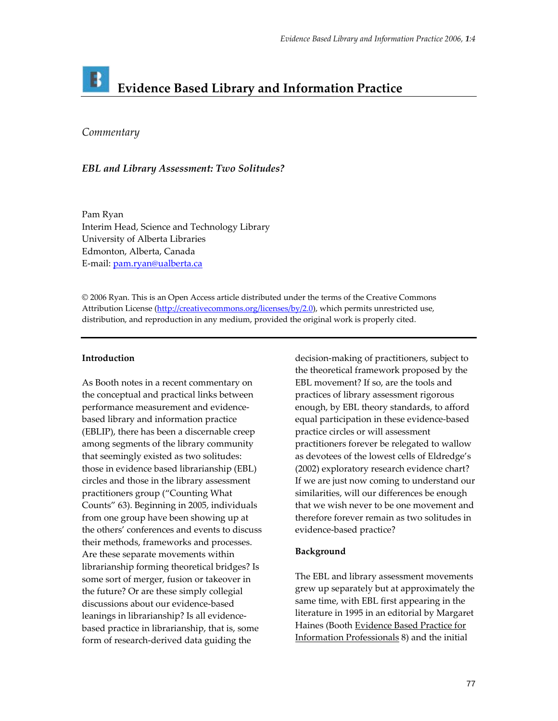# B **Evidence Based Library and Information Practice**

# *Commentary*

## *EBL and Library Assessment: Two Solitudes?*

Pam Ryan Interim Head, Science and Technology Library University of Alberta Libraries Edmonton, Alberta, Canada E-mail: pam.ryan@ualberta.ca

© 2006 Ryan. This is an Open Access article distributed under the terms of the Creative Commons Attribution License [\(http://creativecommons.org/licenses/by/2.0](http://creativecommons.org/licenses/by/2.0)), which permits unrestricted use, distribution, and reproduction in any medium, provided the original work is properly cited.

#### **Introduction**

As Booth notes in a recent commentary on the conceptual and practical links between performance measurement and evidence‐ based library and information practice (EBLIP), there has been a discernable creep among segments of the library community that seemingly existed as two solitudes: those in evidence based librarianship (EBL) circles and those in the library assessment practitioners group ("Counting What Counts" 63). Beginning in 2005, individuals from one group have been showing up at the others' conferences and events to discuss their methods, frameworks and processes. Are these separate movements within librarianship forming theoretical bridges? Is some sort of merger, fusion or takeover in the future? Or are these simply collegial discussions about our evidence‐based leanings in librarianship? Is all evidence‐ based practice in librarianship, that is, some form of research‐derived data guiding the

decision‐making of practitioners, subject to the theoretical framework proposed by the EBL movement? If so, are the tools and practices of library assessment rigorous enough, by EBL theory standards, to afford equal participation in these evidence‐based practice circles or will assessment practitioners forever be relegated to wallow as devotees of the lowest cells of Eldredge's (2002) exploratory research evidence chart? If we are just now coming to understand our similarities, will our differences be enough that we wish never to be one movement and therefore forever remain as two solitudes in evidence‐based practice?

#### **Background**

The EBL and library assessment movements grew up separately but at approximately the same time, with EBL first appearing in the literature in 1995 in an editorial by Margaret Haines (Booth Evidence Based Practice for Information Professionals 8) and the initial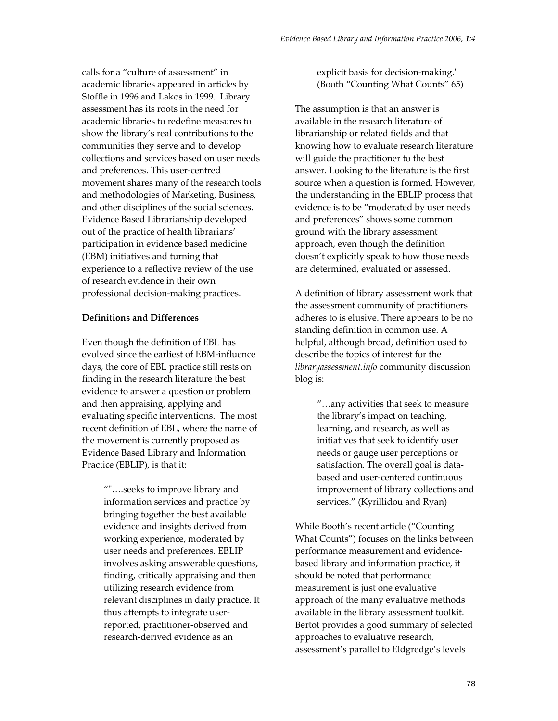calls for a "culture of assessment" in academic libraries appeared in articles by Stoffle in 1996 and Lakos in 1999. Library assessment has its roots in the need for academic libraries to redefine measures to show the library's real contributions to the communities they serve and to develop collections and services based on user needs and preferences. This user‐centred movement shares many of the research tools and methodologies of Marketing, Business, and other disciplines of the social sciences. Evidence Based Librarianship developed out of the practice of health librarians' participation in evidence based medicine (EBM) initiatives and turning that experience to a reflective review of the use of research evidence in their own professional decision‐making practices.

#### **Definitions and Differences**

Even though the definition of EBL has evolved since the earliest of EBM‐influence days, the core of EBL practice still rests on finding in the research literature the best evidence to answer a question or problem and then appraising, applying and evaluating specific interventions. The most recent definition of EBL, where the name of the movement is currently proposed as Evidence Based Library and Information Practice (EBLIP), is that it:

> "ʺ….seeks to improve library and information services and practice by bringing together the best available evidence and insights derived from working experience, moderated by user needs and preferences. EBLIP involves asking answerable questions, finding, critically appraising and then utilizing research evidence from relevant disciplines in daily practice. It thus attempts to integrate user‐ reported, practitioner‐observed and research‐derived evidence as an

explicit basis for decision-making." (Booth "Counting What Counts" 65)

The assumption is that an answer is available in the research literature of librarianship or related fields and that knowing how to evaluate research literature will guide the practitioner to the best answer. Looking to the literature is the first source when a question is formed. However, the understanding in the EBLIP process that evidence is to be "moderated by user needs and preferences" shows some common ground with the library assessment approach, even though the definition doesn't explicitly speak to how those needs are determined, evaluated or assessed.

A definition of library assessment work that the assessment community of practitioners adheres to is elusive. There appears to be no standing definition in common use. A helpful, although broad, definition used to describe the topics of interest for the *libraryassessment.info* community discussion blog is:

> "…any activities that seek to measure the library's impact on teaching, learning, and research, as well as initiatives that seek to identify user needs or gauge user perceptions or satisfaction. The overall goal is data‐ based and user‐centered continuous improvement of library collections and services." (Kyrillidou and Ryan)

While Booth's recent article ("Counting What Counts") focuses on the links between performance measurement and evidence‐ based library and information practice, it should be noted that performance measurement is just one evaluative approach of the many evaluative methods available in the library assessment toolkit. Bertot provides a good summary of selected approaches to evaluative research, assessment's parallel to Eldgredge's levels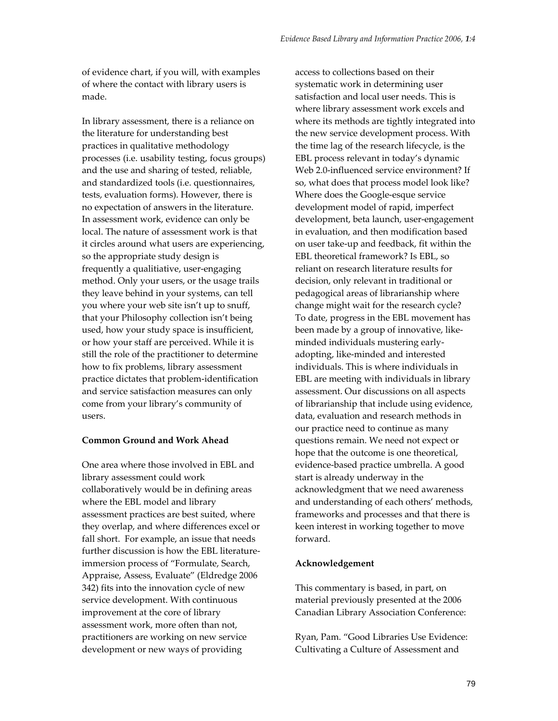of evidence chart, if you will, with examples of where the contact with library users is made.

In library assessment, there is a reliance on the literature for understanding best practices in qualitative methodology processes (i.e. usability testing, focus groups) and the use and sharing of tested, reliable, and standardized tools (i.e. questionnaires, tests, evaluation forms). However, there is no expectation of answers in the literature. In assessment work, evidence can only be local. The nature of assessment work is that it circles around what users are experiencing, so the appropriate study design is frequently a qualitiative, user‐engaging method. Only your users, or the usage trails they leave behind in your systems, can tell you where your web site isn't up to snuff, that your Philosophy collection isn't being used, how your study space is insufficient, or how your staff are perceived. While it is still the role of the practitioner to determine how to fix problems, library assessment practice dictates that problem‐identification and service satisfaction measures can only come from your library's community of users.

#### **Common Ground and Work Ahead**

One area where those involved in EBL and library assessment could work collaboratively would be in defining areas where the EBL model and library assessment practices are best suited, where they overlap, and where differences excel or fall short. For example, an issue that needs further discussion is how the EBL literature‐ immersion process of "Formulate, Search, Appraise, Assess, Evaluate" (Eldredge 2006 342) fits into the innovation cycle of new service development. With continuous improvement at the core of library assessment work, more often than not, practitioners are working on new service development or new ways of providing

access to collections based on their systematic work in determining user satisfaction and local user needs. This is where library assessment work excels and where its methods are tightly integrated into the new service development process. With the time lag of the research lifecycle, is the EBL process relevant in today's dynamic Web 2.0-influenced service environment? If so, what does that process model look like? Where does the Google‐esque service development model of rapid, imperfect development, beta launch, user‐engagement in evaluation, and then modification based on user take‐up and feedback, fit within the EBL theoretical framework? Is EBL, so reliant on research literature results for decision, only relevant in traditional or pedagogical areas of librarianship where change might wait for the research cycle? To date, progress in the EBL movement has been made by a group of innovative, likeminded individuals mustering early‐ adopting, like‐minded and interested individuals. This is where individuals in EBL are meeting with individuals in library assessment. Our discussions on all aspects of librarianship that include using evidence, data, evaluation and research methods in our practice need to continue as many questions remain. We need not expect or hope that the outcome is one theoretical, evidence‐based practice umbrella. A good start is already underway in the acknowledgment that we need awareness and understanding of each others' methods, frameworks and processes and that there is keen interest in working together to move forward.

# **Acknowledgement**

This commentary is based, in part, on material previously presented at the 2006 Canadian Library Association Conference:

Ryan, Pam. "Good Libraries Use Evidence: Cultivating a Culture of Assessment and